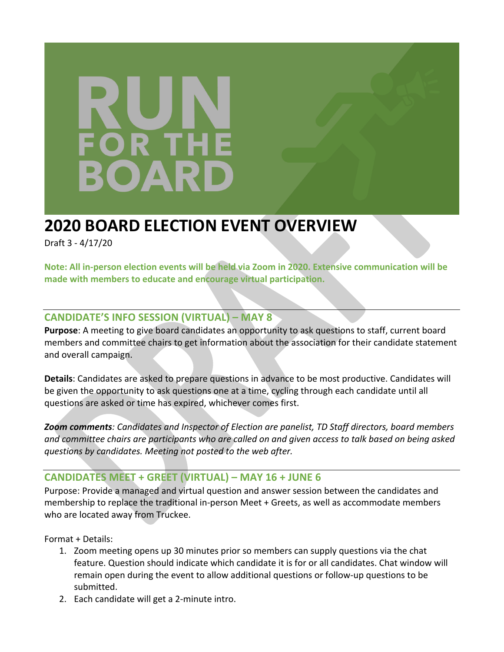# OR T **DAR**

# **2020 BOARD ELECTION EVENT OVERVIEW**

Draft 3 - 4/17/20

**Note: All in-person election events will be held via Zoom in 2020. Extensive communication will be made with members to educate and encourage virtual participation.** 

## **CANDIDATE'S INFO SESSION (VIRTUAL) – MAY 8**

**Purpose**: A meeting to give board candidates an opportunity to ask questions to staff, current board members and committee chairs to get information about the association for their candidate statement and overall campaign.

**Details**: Candidates are asked to prepare questions in advance to be most productive. Candidates will be given the opportunity to ask questions one at a time, cycling through each candidate until all questions are asked or time has expired, whichever comes first.

*Zoom comments: Candidates and Inspector of Election are panelist, TD Staff directors, board members and committee chairs are participants who are called on and given access to talk based on being asked questions by candidates. Meeting not posted to the web after.*

## **CANDIDATES MEET + GREET (VIRTUAL) – MAY 16 + JUNE 6**

Purpose: Provide a managed and virtual question and answer session between the candidates and membership to replace the traditional in-person Meet + Greets, as well as accommodate members who are located away from Truckee.

Format + Details:

- 1. Zoom meeting opens up 30 minutes prior so members can supply questions via the chat feature. Question should indicate which candidate it is for or all candidates. Chat window will remain open during the event to allow additional questions or follow-up questions to be submitted.
- 2. Each candidate will get a 2-minute intro.